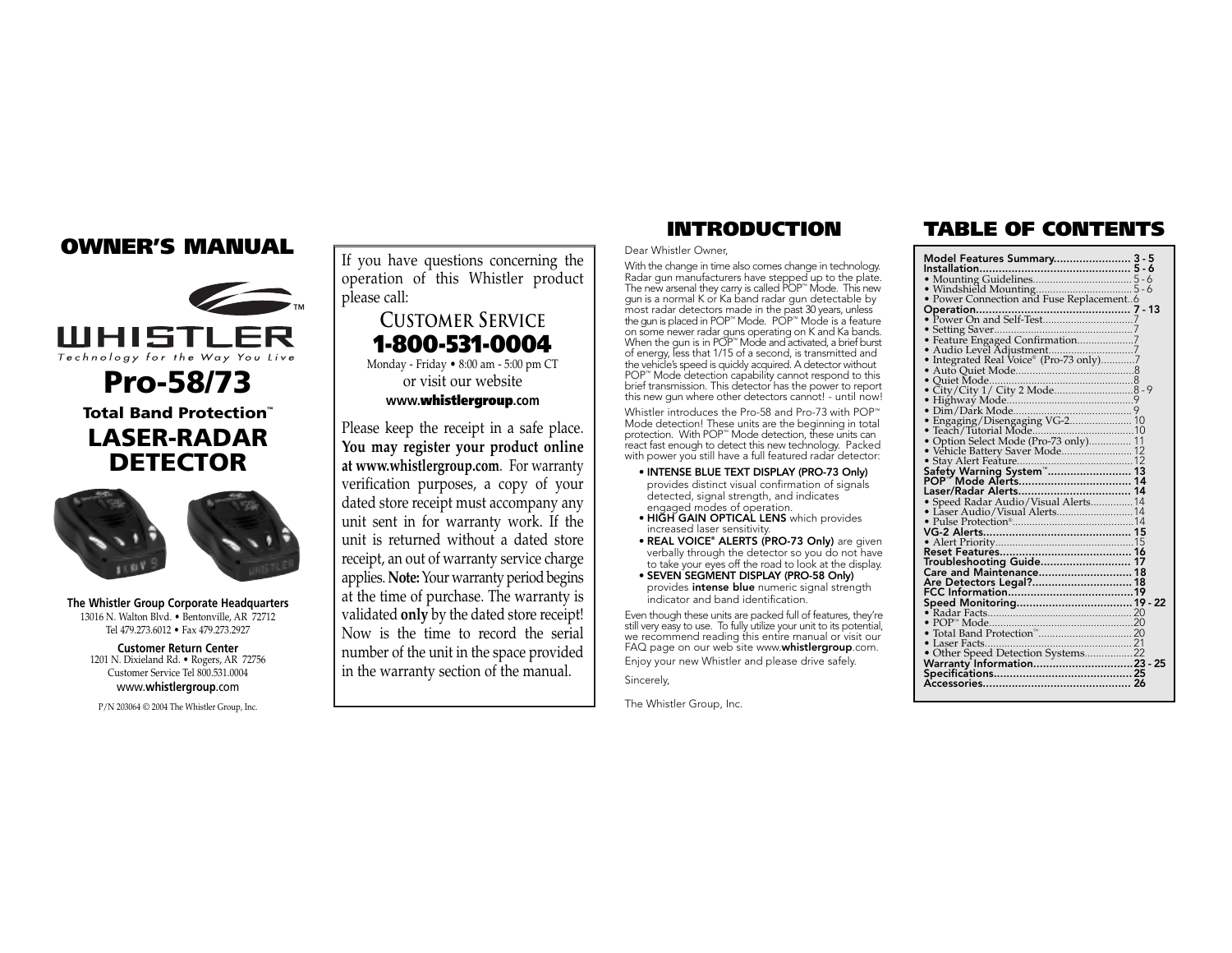# **OWNER'S MANUAL**



**Pro-58/73 Total Band Protection™ LASER-RADAR DETECTOR**



**The Whistler Group Corporate Headquarters** 13016 N. Walton Blvd. • Bentonville, AR 72712 Tel 479.273.6012 • Fax 479.273.2927

**Customer Return Center** 1201 N. Dixieland Rd. • Rogers, AR 72756 Customer Service Tel 800.531.0004 www.**whistlergroup**.com

P/N 203064 © 2004 The Whistler Group, Inc.

If you have questions concerning the operation of this Whistler product please call:

## **CuSTOmer SeRVICE 1-800-531-0004** Monday - Friday • 8:00 am - 5:00 pm CT

or visit our website

## **www.whistlergroup.com**

Please keep the receipt in a safe place. **You may register your product online at www.whistlergroup.com**. For warranty verification purposes, a copy of your dated store receipt must accompany any unit sent in for warranty work. If the unit is returned without a dated store receipt, an out of warranty service charge applies. **Note:**Your warranty period begins at the time of purchase. The warranty is validated **only** by the dated store receipt! Now is the time to record the serial number of the unit in the space provided in the warranty section of the manual.

### Dear Whistler Owner,

With the change in time also comes change in technology. Radar gun manufacturers have stepped up to the plate. The new arsenal they carry is called POP™ Mode. This new gun is a normal K or Ka band radar gun detectable by most radar detectors made in the past 30 years, unless the gun is placed in POP™ Mode. POP™ Mode is a feature on some newer radar guns operating on K and Ka bands. When the gun is in POP™ Mode and activated, a brief burst of energy, less that 1/15 of a second, is transmitted and the vehicle's speed is quickly acquired. A detector without<br>POP™ Mode detection capability cannot respond to this<br>brief transmission. This detector has the power to report this new gun where other detectors cannot! - until now!

Whistler introduces the Pro-58 and Pro-73 with POP™ Mode detection! These units are the beginning in total protection. With POP™ Mode detection, these units can react fast enough to detect this new technology. Packed with power you still have a full featured radar detector:

- **INTENSE BLUE TEXT DISPLAY (PRO-73 Only)** provides distinct visual confirmation of signals detected, signal strength, and indicates engaged modes of operation.
- **HIGH GAIN OPTICAL LENS** which provides increased laser sensitivity.
- **REAL VOICE® ALERTS (PRO-73 Only)** are given verbally through the detector so you do not have to take your eyes off the road to look at the display. • **SEVEN SEGMENT DISPLAY (PRO-58 Only)**
- provides **intense blue** numeric signal strength indicator and band identification.

Even though these units are packed full of features, they're still very easy to use. To fully utilize your unit to its potential, we recommend reading this entire manual or visit our FAQ page on our web site www.**whistlergroup**.com. Enjoy your new Whistler and please drive safely.

Sincerely,

The Whistler Group, Inc.

## **INTRODUCTION TABLE OF CONTENTS**

| Footing Save (1997)<br>Feature Engaged Confirmation (1997)<br>The The Linde (1998)<br>Audio Level Adjustment (1997)<br>Auto Quiet Mode (1997)<br>Auto Quiet Mode (1997) |  |
|-------------------------------------------------------------------------------------------------------------------------------------------------------------------------|--|
|                                                                                                                                                                         |  |
|                                                                                                                                                                         |  |
|                                                                                                                                                                         |  |
|                                                                                                                                                                         |  |
|                                                                                                                                                                         |  |
|                                                                                                                                                                         |  |
|                                                                                                                                                                         |  |
|                                                                                                                                                                         |  |
|                                                                                                                                                                         |  |
|                                                                                                                                                                         |  |
|                                                                                                                                                                         |  |
|                                                                                                                                                                         |  |
|                                                                                                                                                                         |  |
|                                                                                                                                                                         |  |
|                                                                                                                                                                         |  |
|                                                                                                                                                                         |  |
|                                                                                                                                                                         |  |
|                                                                                                                                                                         |  |
| Care and Maintenance 18                                                                                                                                                 |  |
|                                                                                                                                                                         |  |
|                                                                                                                                                                         |  |
|                                                                                                                                                                         |  |
|                                                                                                                                                                         |  |
|                                                                                                                                                                         |  |
|                                                                                                                                                                         |  |
|                                                                                                                                                                         |  |
|                                                                                                                                                                         |  |
|                                                                                                                                                                         |  |
|                                                                                                                                                                         |  |
|                                                                                                                                                                         |  |
|                                                                                                                                                                         |  |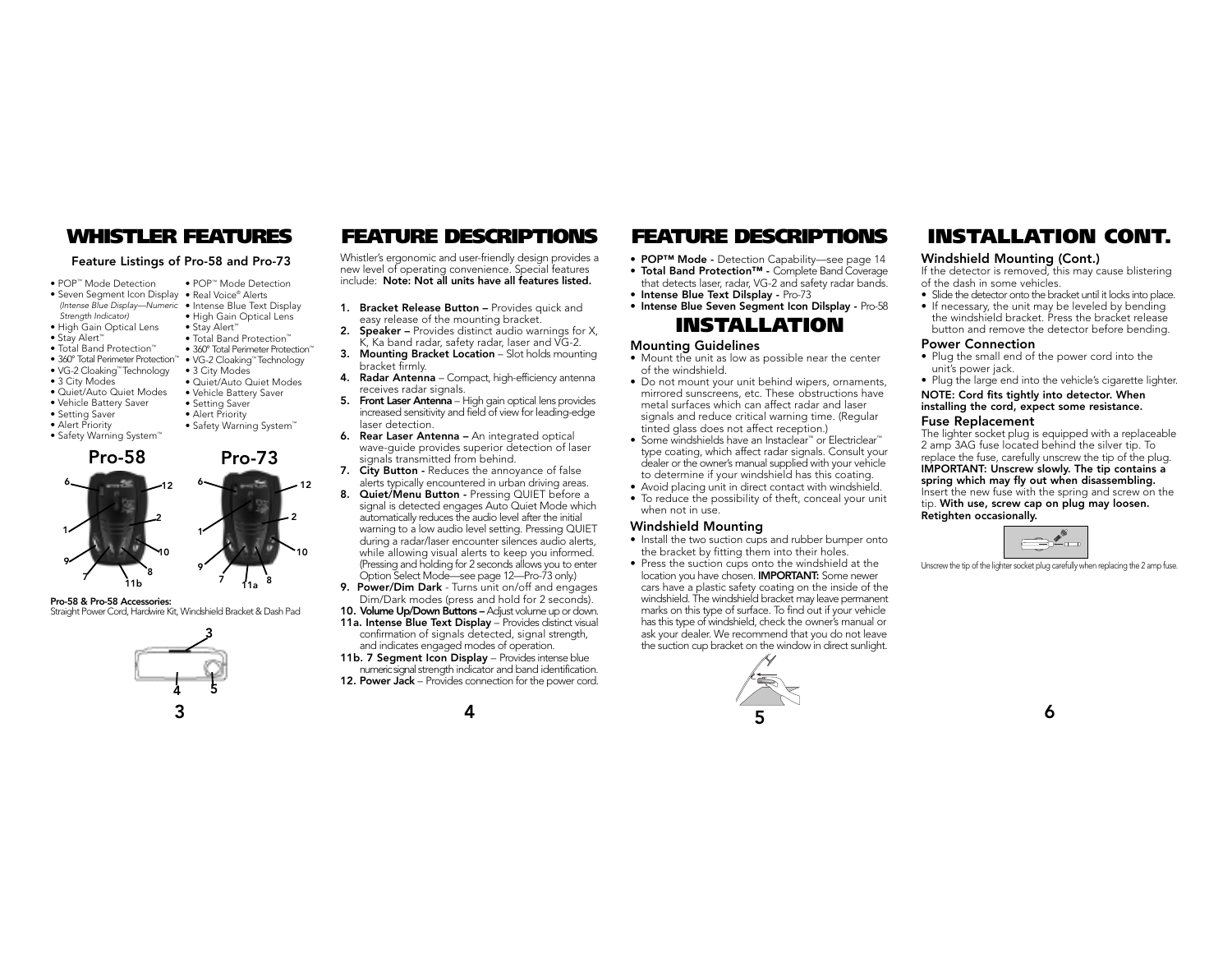## **Feature Listings of Pro-58 and Pro-73**

• POP™ Mode Detection

• Stay Alert™ • Total Band Protection™

• 3 City Modes • Quiet/Auto Quiet Modes • Vehicle Battery Saver • Setting Saver • Alert Priority • Safety Warning System™

- POP™ Mode Detection
- Seven Segment Icon Display Real Voice® Alerts (Intense Blue Display—Numeric • Intense Blue Text Display • High Gain Optical Lens
- Strength Indicator)
- High Gain Optical Lens
- Stay Alert™
- Total Band Protection™ • 360° Total Perimeter Protection™
- 360° Total Perimeter Protection™ VG-2 Cloaking™ Technology
- VG-2 Cloaking™ Technology
- 3 City Modes
- Quiet/Auto Quiet Modes
- Vehicle Battery Saver
- Setting Saver
- Alert Priority
- Safety Warning System™



**Pro-58 & Pro-58 Accessories:**

### Straight Power Cord, Hardwire Kit, Windshield Bracket & Dash Pad



Whistler's ergonomic and user-friendly design provides a new level of operating convenience. Special features include: **Note: Not all units have all features listed.**

- 1. **Bracket Release Button –** Provides quick and easy release of the mounting bracket.
- **2. Speaker –** Provides distinct audio warnings for X, K, Ka band radar, safety radar, laser and VG-2.
- **3. Mounting Bracket Location** Slot holds mounting bracket firmly.
- **4. Radar Antenna** Compact, high-efficiency antenna receives radar signals.
- **5. Front Laser Antenna**  High gain optical lens provides increased sensitivity and field of view for leading-edge laser detection.
- **6. Rear Laser Antenna –** An integrated optical wave-guide provides superior detection of laser signals transmitted from behind.
- **7. City Button -** Reduces the annoyance of false alerts typically encountered in urban driving areas.
- 8. Quiet/Menu Button Pressing QUIET before a signal is detected engages Auto Quiet Mode which automatically reduces the audio level after the initial warning to a low audio level setting. Pressing QUIET during a radar/laser encounter silences audio alerts, while allowing visual alerts to keep you informed. (Pressing and holding for 2 seconds allows you to enter Option Select Mode—see page 12—Pro-73 only.)
- **9. Power/Dim Dark** Turns unit on/off and engages Dim/Dark modes (press and hold for 2 seconds).
- **10. Volume Up/Down Buttons** Adjust volume up or down. **11a. Intense Blue Text Display** – Provides distinct visual confirmation of signals detected, signal strength, and indicates engaged modes of operation.
- **11b. 7 Segment Icon Display** Provides intense blue numeric signal strength indicator and band identification. **12. Power Jack** – Provides connection for the power cord.

### **WHISTLER FEATURES FEATURE DESCRIPTIONS INSTALLATION CONT. FEATURE DESCRIPTIONS**

- **POP™ Mode** Detection Capability—see page 14
- **Total Band Protection™** Complete Band Coverage that detects laser, radar, VG-2 and safety radar bands.
- 
- **Intense Blue Text Dilsplay** Pro-73 • **Intense Blue Seven Segment Icon Dilsplay -** Pro-58

# **INSTALLATION**

### **Mounting Guidelines**

- Mount the unit as low as possible near the center of the windshield.
- Do not mount your unit behind wipers, ornaments, mirrored sunscreens, etc. These obstructions have metal surfaces which can affect radar and laser signals and reduce critical warning time. (Regular tinted glass does not affect reception.)
- Some windshields have an Instaclear™ or Electriclear™ type coating, which affect radar signals. Consult your dealer or the owner's manual supplied with your vehicle to determine if your windshield has this coating.
- Avoid placing unit in direct contact with windshield.
- To reduce the possibility of theft, conceal your unit when not in use.

### **Windshield Mounting**

- Install the two suction cups and rubber bumper onto the bracket by fitting them into their holes.
- Press the suction cups onto the windshield at the location you have chosen. **IMPORTANT:** Some newer cars have a plastic safety coating on the inside of the windshield. The windshield bracket may leave permanent marks on this type of surface. To find out if your vehicle has this type of windshield, check the owner's manual or ask your dealer. We recommend that you do not leave the suction cup bracket on the window in direct sunlight.



### **Windshield Mounting (Cont.)**

If the detector is removed, this may cause blistering of the dash in some vehicles.

- Slide the detector onto the bracket until it locks into place. • If necessary, the unit may be leveled by bending
- the windshield bracket. Press the bracket release button and remove the detector before bending.

### **Power Connection**

- Plug the small end of the power cord into the unit's power jack.
- Plug the large end into the vehicle's cigarette lighter.

### **NOTE: Cord fits tightly into detector. When installing the cord, expect some resistance. Fuse Replacement**

The lighter socket plug is equipped with a replaceable 2 amp 3AG fuse located behind the silver tip. To replace the fuse, carefully unscrew the tip of the plug. **IMPORTANT: Unscrew slowly. The tip contains a spring which may fly out when disassembling.** Insert the new fuse with the spring and screw on the tip. **With use, screw cap on plug may loosen. Retighten occasionally.**



Unscrew the tip of the lighter socket plug carefully when replacing the 2 amp fuse.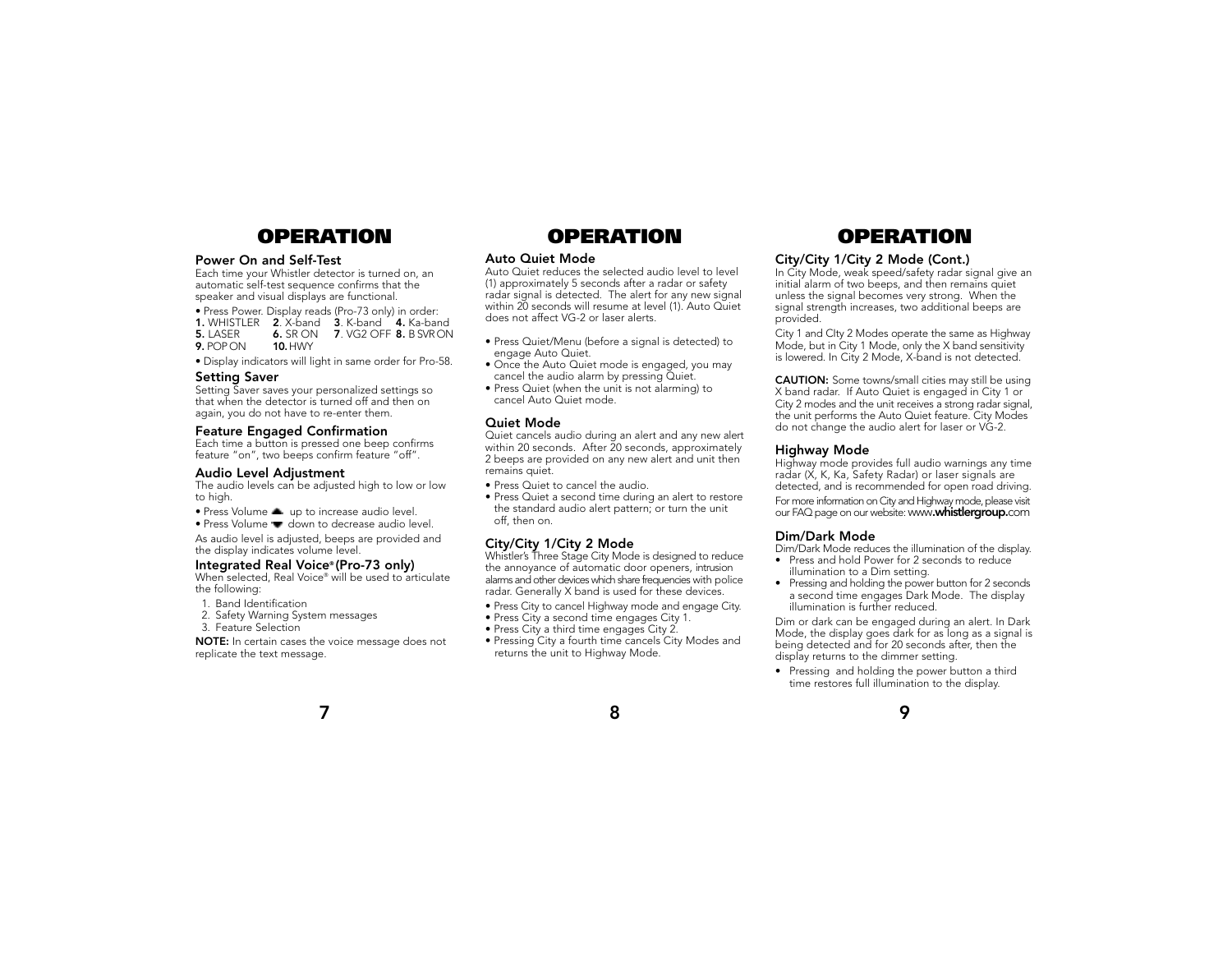## **OPERATION OPERATION OPERATION**

### **Power On and Self-Test**

Each time your Whistler detector is turned on, an automatic self-test sequence confirms that the speaker and visual displays are functional.

• Press Power. Display reads (Pro-73 only) in order: **1.** WHISTLER **2**. X-band **3**. K-band **4.** Ka-band **6.** SR ON **7**. VG2 OFF **8.** B SVR ON **10.** HWY **9.** POP ON

• Display indicators will light in same order for Pro-58.

### **Setting Saver**

Setting Saver saves your personalized settings so that when the detector is turned off and then on again, you do not have to re-enter them.

### **Feature Engaged Confirmation**

Each time a button is pressed one beep confirms feature "on", two beeps confirm feature "off".

### **Audio Level Adjustment**

The audio levels can be adjusted high to low or low to high.

- Press Volume  $\triangleq$  up to increase audio level.
- Press Volume  $\bullet$  down to decrease audio level.

As audio level is adjusted, beeps are provided and the display indicates volume level.

### **Integrated Real Voice® (Pro-73 only)**

When selected, Real Voice® will be used to articulate the following:

- 1. Band Identification
- 2. Safety Warning System messages
- 3. Feature Selection

**NOTE:** In certain cases the voice message does not replicate the text message.

### **Auto Quiet Mode**

Auto Quiet reduces the selected audio level to level (1) approximately 5 seconds after a radar or safety radar signal is detected. The alert for any new signal within 20 seconds will resume at level (1). Auto Quiet does not affect VG-2 or laser alerts.

- Press Quiet/Menu (before a signal is detected) to engage Auto Quiet.
- Once the Auto Quiet mode is engaged, you may cancel the audio alarm by pressing Quiet.
- Press Quiet (when the unit is not alarming) to cancel Auto Quiet mode.

### **Quiet Mode**

Quiet cancels audio during an alert and any new alert within 20 seconds. After 20 seconds, approximately 2 beeps are provided on any new alert and unit then remains quiet.

- Press Quiet to cancel the audio.
- Press Quiet a second time during an alert to restore the standard audio alert pattern; or turn the unit off, then on.

### **City/City 1/City 2 Mode**

Whistler's Three Stage City Mode is designed to reduce the annoyance of automatic door openers, intrusion alarms and other devices which share frequencies with police radar. Generally X band is used for these devices.

- Press City to cancel Highway mode and engage City.
- Press City a second time engages City 1.
- Press City a third time engages City 2.
- Pressing City a fourth time cancels City Modes and returns the unit to Highway Mode.

### **City/City 1/City 2 Mode (Cont.)**

In City Mode, weak speed/safety radar signal give an initial alarm of two beeps, and then remains quiet unless the signal becomes very strong. When the signal strength increases, two additional beeps are provided.

City 1 and CIty 2 Modes operate the same as Highway Mode, but in City 1 Mode, only the X band sensitivity is lowered. In City 2 Mode, X-band is not detected.

**CAUTION:** Some towns/small cities may still be using X band radar. If Auto Quiet is engaged in City 1 or City 2 modes and the unit receives a strong radar signal, the unit performs the Auto Quiet feature. City Modes do not change the audio alert for laser or VG-2.

### **Highway Mode**

Highway mode provides full audio warnings any time radar (X, K, Ka, Safety Radar) or laser signals are detected, and is recommended for open road driving.

For more information on City and Highway mode, please visit our FAQ page on our website: www**.whistlergroup.**com

### **Dim/Dark Mode**

Dim/Dark Mode reduces the illumination of the display.

- Press and hold Power for 2 seconds to reduce illumination to a Dim setting.
- Pressing and holding the power button for 2 seconds a second time engages Dark Mode. The display illumination is further reduced.

Dim or dark can be engaged during an alert. In Dark Mode, the display goes dark for as long as a signal is being detected and for 20 seconds after, then the display returns to the dimmer setting.

• Pressing and holding the power button a third time restores full illumination to the display.



**7**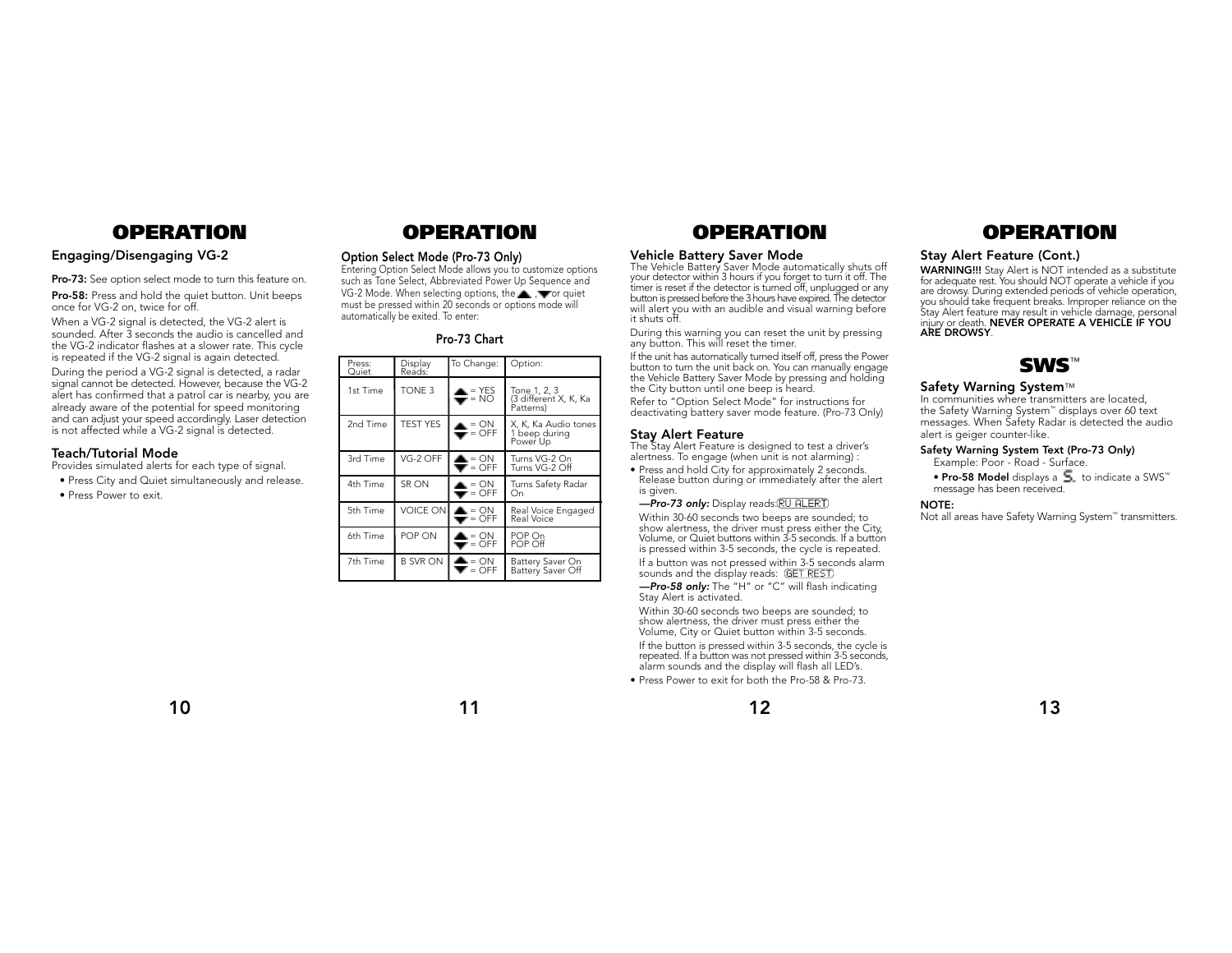## **Engaging/Disengaging VG-2**

**Pro-73:** See option select mode to turn this feature on. **Pro-58:** Press and hold the quiet button. Unit beeps

once for VG-2 on, twice for off. When a VG-2 signal is detected, the VG-2 alert is

sounded. After 3 seconds the audio is cancelled and the VG-2 indicator flashes at a slower rate. This cycle is repeated if the VG-2 signal is again detected.

During the period a VG-2 signal is detected, a radar signal cannot be detected. However, because the VG-2 alert has confirmed that a patrol car is nearby, you are already aware of the potential for speed monitoring and can adjust your speed accordingly. Laser detection is not affected while a VG-2 signal is detected.

### **Teach/Tutorial Mode**

Provides simulated alerts for each type of signal.

- Press City and Quiet simultaneously and release.
- Press Power to exit.

# **OPERATION OPERATION OPERATION OPERATION**

### **Option Select Mode (Pro-73 Only)**

Entering Option Select Mode allows you to customize options such as Tone Select, Abbreviated Power Up Sequence and VG-2 Mode. When selecting options, the  $\blacksquare$ ,  $\blacksquare$  or quiet must be pressed within 20 seconds or options mode will automatically be exited. To enter:

### **Pro-73 Chart**

| Press:<br>Quiet | Display<br>Reads: | To Change:                                        | Option:                                            |
|-----------------|-------------------|---------------------------------------------------|----------------------------------------------------|
| 1st Time        | TONE 3            | $\triangleq$ = YES                                | Tone 1, 2, 3<br>(3 different X, K, Ka<br>Patterns) |
| 2nd Time        | <b>TEST YES</b>   | $\triangle = ON$<br>$\blacksquare$ = OFF          | X, K, Ka Audio tones<br>1 beep during<br>Power Up  |
| 3rd Time        | VG-2 OFF          | $\triangle = ON$<br>$\overline{\mathbf{v}}$ = OFF | Turns VG-2 On<br>Turns VG-2 Off                    |
| 4th Time        | SR ON             | $\triangle = ON$<br>$\blacksquare$ = OFF          | Turns Safety Radar<br>On                           |
| 5th Time        | <b>VOICE ON</b>   | $\triangle = ON$<br>$\overline{\mathbf{v}}$ = OFF | Real Voice Engaged<br>Real Voice                   |
| 6th Time        | POP ON            | $\blacktriangle = ON$<br>$\blacksquare$ = OFF     | POP On<br>POP Off                                  |
| 7th Time        | B SVR ON          | $\triangle = ON$<br>$\blacktriangledown$ = OFF    | Battery Saver On<br>Battery Saver Off              |

### **Vehicle Battery Saver Mode**

The Vehicle Battery Saver Mode automatically shuts off your detector within 3 hours if you forget to turn it off. The timer is reset if the detector is turned off, unplugged or any button is pressed before the 3 hours have expired. The detector will alert you with an audible and visual warning before it shuts off.

During this warning you can reset the unit by pressing any button. This will reset the timer.

If the unit has automatically turned itself off, press the Power button to turn the unit back on. You can manually engage the Vehicle Battery Saver Mode by pressing and holding the City button until one beep is heard.

Refer to "Option Select Mode" for instructions for deactivating battery saver mode feature. (Pro-73 Only)

### **Stay Alert Feature**

The Stay Alert Feature is designed to test a driver's alertness. To engage (when unit is not alarming) :

• Press and hold City for approximately 2 seconds. Release button during or immediately after the alert is given.

### -Pro-73 only: Display reads: RU ALERT)

Within 30-60 seconds two beeps are sounded; to show alertness, the driver must press either the City, Volume, or Quiet buttons within 3-5 seconds. If a button is pressed within 3-5 seconds, the cycle is repeated. If a button was not pressed within 3-5 seconds alarm sounds and the display reads: (GET REST)

-Pro-58 only: The "H" or "C" will flash indicating Stay Alert is activated.

Within 30-60 seconds two beeps are sounded; to show alertness, the driver must press either the Volume, City or Quiet button within 3-5 seconds. If the button is pressed within 3-5 seconds, the cycle is repeated. If a button was not pressed within 3-5 seconds, alarm sounds and the display will flash all LED's.

• Press Power to exit for both the Pro-58 & Pro-73.



### **Stay Alert Feature (Cont.)**

**WARNING!!!** Stay Alert is NOT intended as a substitute for adequate rest. You should NOT operate a vehicle if you are drowsy. During extended periods of vehicle operation, you should take frequent breaks. Improper reliance on the Stay Alert feature may result in vehicle damage, personal injury or death. **NEVER OPERATE A VEHICLE IF YOU ARE DROWSY**.



### **Safety Warning System**™

In communities where transmitters are located, the Safety Warning System™ displays over 60 text messages. When Safety Radar is detected the audio alert is geiger counter-like.

### **Safety Warning System Text (Pro-73 Only)**

Example: Poor - Road - Surface.

• **Pro-58 Model** displays a  $\overline{5}$ , to indicate a SWS™ message has been received.

### **NOTE:**

Not all areas have Safety Warning System™ transmitters.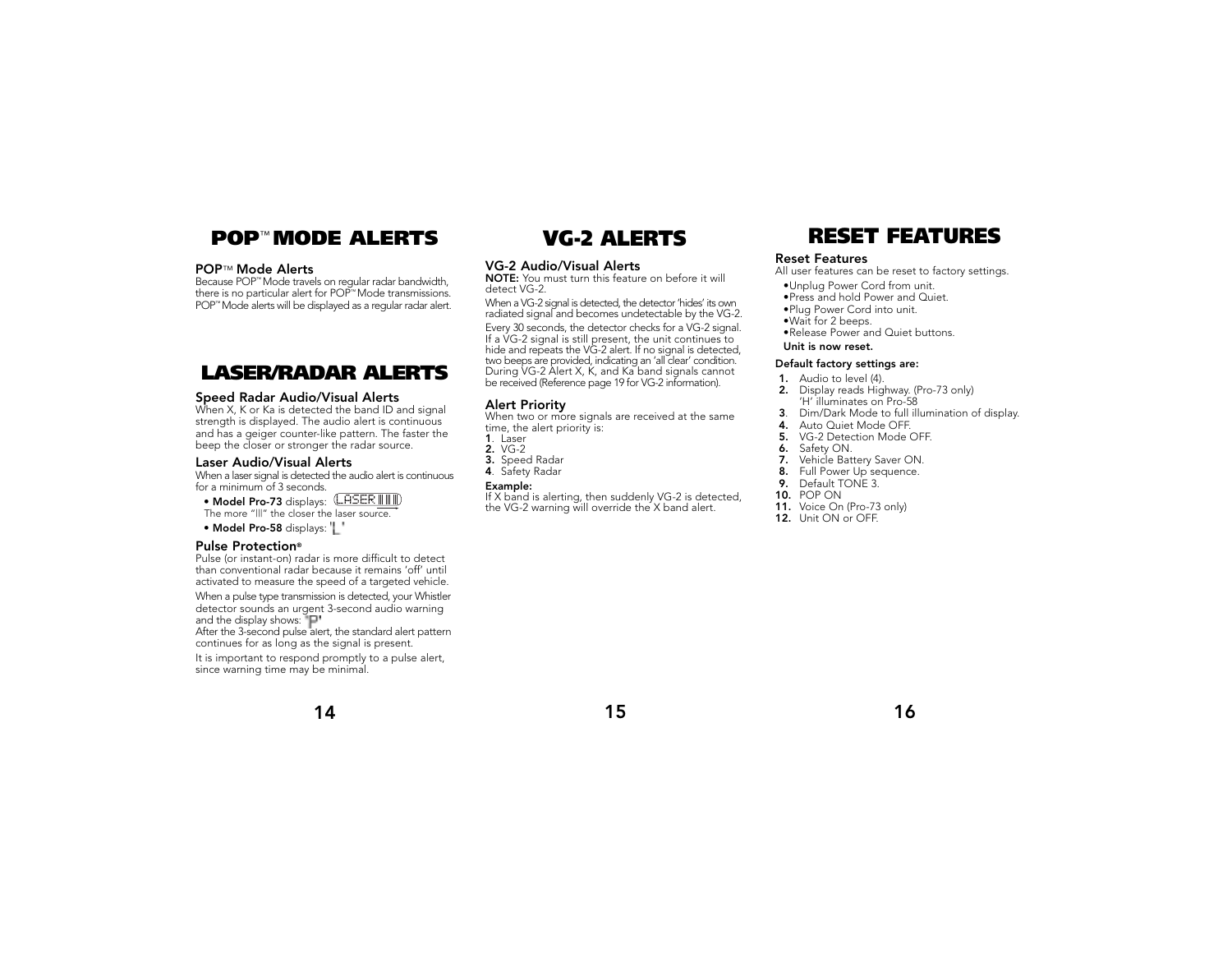## **POP**™ **MODE ALERTS VG-2 ALERTS RESET FEATURES**

### **POP**™ **Mode Alerts**

Because POP™ Mode travels on regular radar bandwidth, there is no particular alert for POP™ Mode transmissions. POP™ Mode alerts will be displayed as a regular radar alert.

## **LASER/RADAR ALERTS**

### **Speed Radar Audio/Visual Alerts**

When X, K or Ka is detected the band ID and signal strength is displayed. The audio alert is continuous and has a geiger counter-like pattern. The faster the beep the closer or stronger the radar source.

### **Laser Audio/Visual Alerts**

When a laser signal is detected the audio alert is continuous for a minimum of 3 seconds.

• **Model Pro-73** displays:

The more "III" the closer the laser source.

• **Model Pro-58** displays:

### **Pulse Protection®**

Pulse (or instant-on) radar is more difficult to detect than conventional radar because it remains 'off' until activated to measure the speed of a targeted vehicle. When a pulse type transmission is detected, your Whistler detector sounds an urgent 3-second audio warning and the display shows: "P"

After the 3-second pulse alert, the standard alert pattern continues for as long as the signal is present.

It is important to respond promptly to a pulse alert, since warning time may be minimal.

## **14 15 16**

### **VG-2 Audio/Visual Alerts**

**NOTE:** You must turn this feature on before it will detect VG-2.

When a VG-2 signal is detected, the detector 'hides' its own radiated signal and becomes undetectable by the VG-2.

Every 30 seconds, the detector checks for a VG-2 signal. If a VG-2 signal is still present, the unit continues to hide and repeats the VG-2 alert. If no signal is detected, two beeps are provided, indicating an 'all clear' condition. During VG-2 Alert X, K, and Ka band signals cannot be received (Reference page 19 for VG-2 information).

### **Alert Priority**

When two or more signals are received at the same time, the alert priority is: **1**. Laser

- **2.** VG-2
- **3.** Speed Radar
- **4**. Safety Radar

### **Example:**

If X band is alerting, then suddenly VG-2 is detected, the VG-2 warning will override the X band alert.



### **Reset Features**

- All user features can be reset to factory settings.
- •Unplug Power Cord from unit.
- •Press and hold Power and Quiet.
- •Plug Power Cord into unit.
- •Wait for 2 beeps.
- •Release Power and Quiet buttons.

### **Unit is now reset.**

### **Default factory settings are:**

- **1.** Audio to level (4).
- **2.** Display reads Highway. (Pro-73 only) 'H' illuminates on Pro-58
- **3**. Dim/Dark Mode to full illumination of display.
- **4.** Auto Quiet Mode OFF.<br>**5.** VG-2 Detection Mode (
- **5.** VG-2 Detection Mode OFF.
- **6.** Safety ON.
- **7.** Vehicle Battery Saver ON.
- **8.** Full Power Up sequence.<br>**9.** Default TONE 3.
- **9.** Default TONE 3.
- **10.** POP ON
- **11.** Voice On (Pro-73 only)
- **12.** Unit ON or OFF.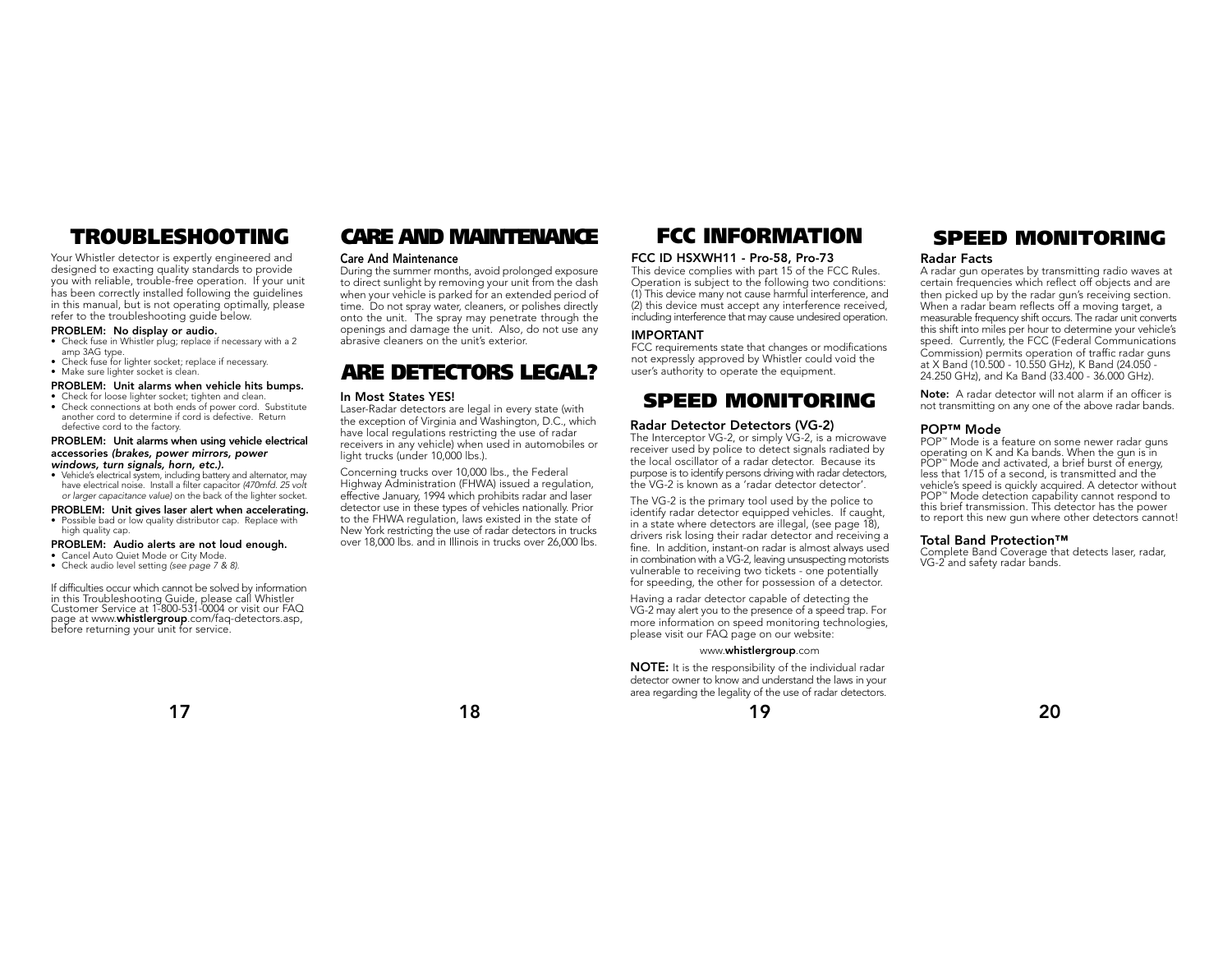Your Whistler detector is expertly engineered and designed to exacting quality standards to provide you with reliable, trouble-free operation. If your unit has been correctly installed following the guidelines in this manual, but is not operating optimally, please refer to the troubleshooting guide below.

### **PROBLEM: No display or audio.**

- Check fuse in Whistler plug; replace if necessary with a 2 amp 3AG type.
- Check fuse for lighter socket; replace if necessary. • Make sure lighter socket is clean.
- 
- **PROBLEM: Unit alarms when vehicle hits bumps.** • Check for loose lighter socket; tighten and clean.
- Check connections at both ends of power cord. Substitute another cord to determine if cord is defective. Return defective cord to the factory.

### **PROBLEM: Unit alarms when using vehicle electrical accessories** (brakes, power mirrors, power windows, turn signals, horn, etc.).

• Vehicle's electrical system, including battery and alternator, may have electrical noise. Install a filter capacitor (470mfd. 25 volt or larger capacitance value) on the back of the lighter socket.

### **PROBLEM: Unit gives laser alert when accelerating.**

• Possible bad or low quality distributor cap. Replace with high quality cap.

### **PROBLEM: Audio alerts are not loud enough.**

- Cancel Auto Quiet Mode or City Mode.
- Check audio level setting (see page 7 & 8).

If difficulties occur which cannot be solved by information in this Troubleshooting Guide, please call Whistler Customer Service at 1-800-531-0004 or visit our FAQ page at www.**whistlergroup**.com/faq-detectors.asp, before returning your unit for service.

# **TROUBLESHOOTING CARE AND MAINTENANCE FCC INFORMATION**

### **Care And Maintenance**

During the summer months, avoid prolonged exposure to direct sunlight by removing your unit from the dash when your vehicle is parked for an extended period of time. Do not spray water, cleaners, or polishes directly onto the unit. The spray may penetrate through the openings and damage the unit. Also, do not use any abrasive cleaners on the unit's exterior.

# **ARE DETECTORS LEGAL?**

### **In Most States YES!**

Laser-Radar detectors are legal in every state (with the exception of Virginia and Washington, D.C., which have local regulations restricting the use of radar receivers in any vehicle) when used in automobiles or light trucks (under 10,000 lbs.).

Concerning trucks over 10,000 lbs., the Federal Highway Administration (FHWA) issued a regulation, effective January, 1994 which prohibits radar and laser detector use in these types of vehicles nationally. Prior to the FHWA regulation, laws existed in the state of New York restricting the use of radar detectors in trucks over 18,000 lbs. and in Illinois in trucks over 26,000 lbs.

### **FCC ID HSXWH11 - Pro-58, Pro-73**

This device complies with part 15 of the FCC Rules. Operation is subject to the following two conditions: (1) This device many not cause harmful interference, and (2) this device must accept any interference received, including interference that may cause undesired operation.

### **IMPORTANT**

FCC requirements state that changes or modifications not expressly approved by Whistler could void the user's authority to operate the equipment.

## **SPEED MONITORING**

### **Radar Detector Detectors (VG-2)**

The Interceptor VG-2, or simply VG-2, is a microwave receiver used by police to detect signals radiated by the local oscillator of a radar detector. Because its purpose is to identify persons driving with radar detectors, the VG-2 is known as a 'radar detector detector'.

The VG-2 is the primary tool used by the police to identify radar detector equipped vehicles. If caught, in a state where detectors are illegal, (see page 18), drivers risk losing their radar detector and receiving a fine. In addition, instant-on radar is almost always used in combination with a VG-2, leaving unsuspecting motorists vulnerable to receiving two tickets - one potentially for speeding, the other for possession of a detector.

Having a radar detector capable of detecting the VG-2 may alert you to the presence of a speed trap. For more information on speed monitoring technologies, please visit our FAQ page on our website:

### www.**whistlergroup**.com

**NOTE:** It is the responsibility of the individual radar detector owner to know and understand the laws in your area regarding the legality of the use of radar detectors.



## **SPEED MONITORING**

### **Radar Facts**

A radar gun operates by transmitting radio waves at certain frequencies which reflect off objects and are then picked up by the radar gun's receiving section. When a radar beam reflects off a moving target, a measurable frequency shift occurs. The radar unit converts this shift into miles per hour to determine your vehicle's speed. Currently, the FCC (Federal Communications Commission) permits operation of traffic radar guns at X Band (10.500 - 10.550 GHz), K Band (24.050 - 24.250 GHz), and Ka Band (33.400 - 36.000 GHz).

**Note:** A radar detector will not alarm if an officer is not transmitting on any one of the above radar bands.

### **POP™ Mode**

POP<sup>™</sup> Mode is a feature on some newer radar guns operating on K and Ka bands. When the gun is in<br>POP<sup>"</sup> Mode and activated, a brief burst of energy, Post that 1/15 of a second, is transmitted and the vehicle's speed is quickly acquired. A detector without POP<sup>\*\*</sup> Mode detection capability cannot respond to this brief transmission. This detector has the power to report this new gun where other detectors cannot!

### **Total Band Protection™**

Complete Band Coverage that detects laser, radar, VG-2 and safety radar bands.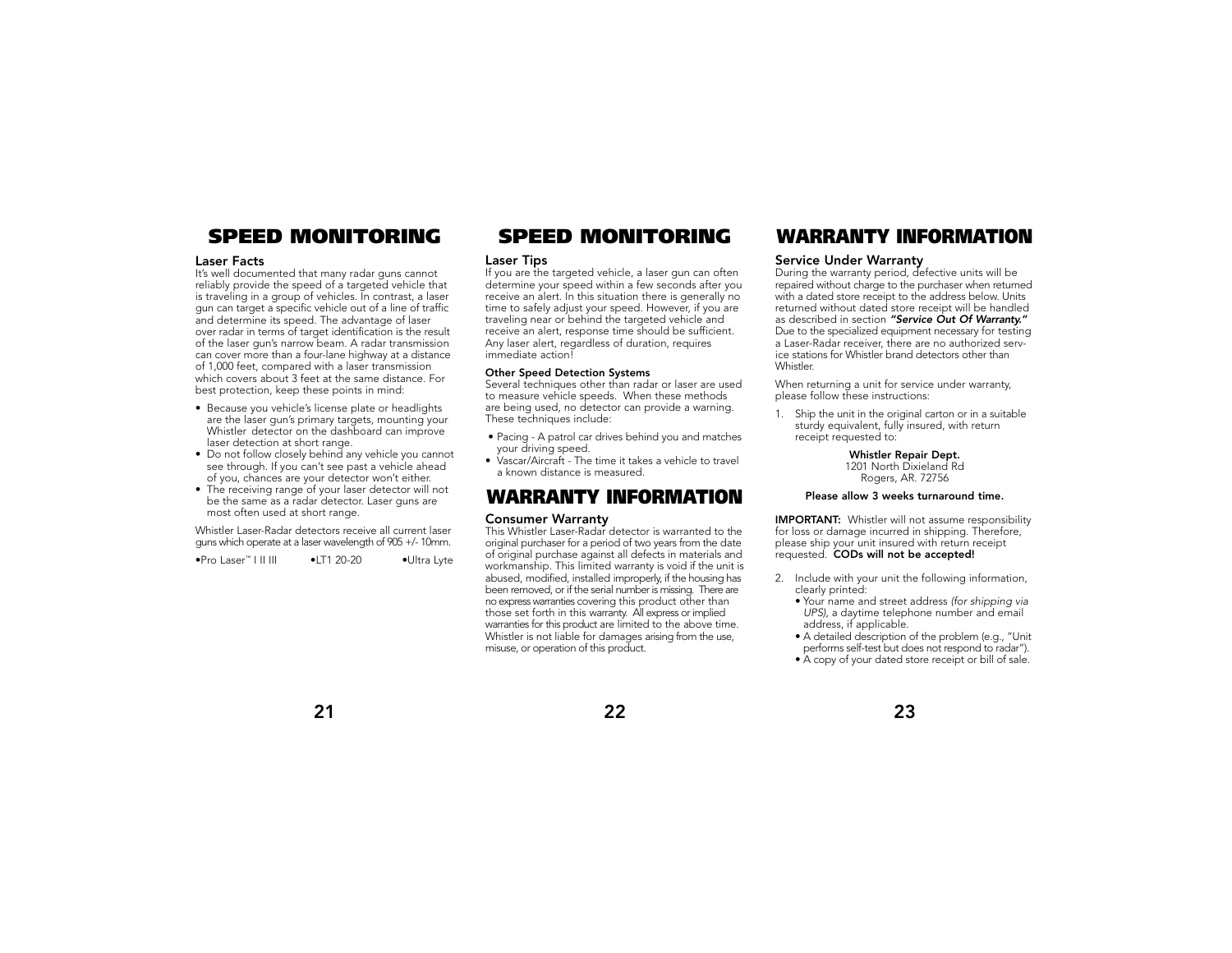### **Laser Facts**

It's well documented that many radar guns cannot reliably provide the speed of a targeted vehicle that is traveling in a group of vehicles. In contrast, a laser gun can target a specific vehicle out of a line of traffic and determine its speed. The advantage of laser over radar in terms of target identification is the result of the laser gun's narrow beam. A radar transmission can cover more than a four-lane highway at a distance of 1,000 feet, compared with a laser transmission which covers about 3 feet at the same distance. For best protection, keep these points in mind:

- Because you vehicle's license plate or headlights are the laser gun's primary targets, mounting your Whistler detector on the dashboard can improve laser detection at short range.
- Do not follow closely behind any vehicle you cannot see through. If you can't see past a vehicle ahead of you, chances are your detector won't either.
- The receiving range of your laser detector will not be the same as a radar detector. Laser guns are most often used at short range.

Whistler Laser-Radar detectors receive all current laser guns which operate at a laser wavelength of 905 +/- 10mm.

•Pro Laser™ I II III •LT1 20-20 •Ultra Lyte

### **Laser Tips**

If you are the targeted vehicle, a laser gun can often determine your speed within a few seconds after you receive an alert. In this situation there is generally no time to safely adjust your speed. However, if you are traveling near or behind the targeted vehicle and receive an alert, response time should be sufficient. Any laser alert, regardless of duration, requires immediate action!

### **Other Speed Detection Systems**

Several techniques other than radar or laser are used to measure vehicle speeds. When these methods are being used, no detector can provide a warning. These techniques include:

- Pacing A patrol car drives behind you and matches your driving speed.
- Vascar/Aircraft The time it takes a vehicle to travel a known distance is measured.

## **WARRANTY INFORMATION**

### **Consumer Warranty**

This Whistler Laser-Radar detector is warranted to the original purchaser for a period of two years from the date of original purchase against all defects in materials and workmanship. This limited warranty is void if the unit is abused, modified, installed improperly, if the housing has been removed, or if the serial number is missing. There are no express warranties covering this product other than those set forth in this warranty. All express or implied warranties for this product are limited to the above time. Whistler is not liable for damages arising from the use, misuse, or operation of this product.

## **SPEED MONITORING SPEED MONITORING WARRANTY INFORMATION**

### **Service Under Warranty**

During the warranty period, defective units will be repaired without charge to the purchaser when returned with a dated store receipt to the address below. Units returned without dated store receipt will be handled as described in section "Service Out Of Warranty." Due to the specialized equipment necessary for testing a Laser-Radar receiver, there are no authorized service stations for Whistler brand detectors other than Whistler.

When returning a unit for service under warranty, please follow these instructions:

1. Ship the unit in the original carton or in a suitable sturdy equivalent, fully insured, with return receipt requested to:

> **Whistler Repair Dept.** 1201 North Dixieland Rd

Rogers, AR. 72756

### **Please allow 3 weeks turnaround time.**

**IMPORTANT:** Whistler will not assume responsibility for loss or damage incurred in shipping. Therefore, please ship your unit insured with return receipt requested. **CODs will not be accepted!**

- 2. Include with your unit the following information, clearly printed:
	- Your name and street address (for shipping via UPS), a daytime telephone number and email address, if applicable.

• A detailed description of the problem (e.g., "Unit performs self-test but does not respond to radar").

• A copy of your dated store receipt or bill of sale.



**23**